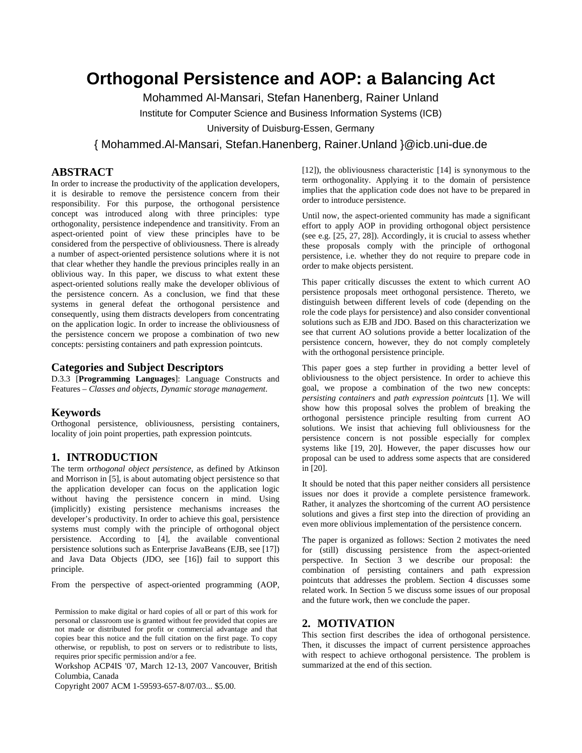# **Orthogonal Persistence and AOP: a Balancing Act**

Mohammed Al-Mansari, Stefan Hanenberg, Rainer Unland

Institute for Computer Science and Business Information Systems (ICB)

University of Duisburg-Essen, Germany

{ Mohammed.Al-Mansari, Stefan.Hanenberg, Rainer.Unland }@icb.uni-due.de

# **ABSTRACT**

In order to increase the productivity of the application developers, it is desirable to remove the persistence concern from their responsibility. For this purpose, the orthogonal persistence concept was introduced along with three principles: type orthogonality, persistence independence and transitivity. From an aspect-oriented point of view these principles have to be considered from the perspective of obliviousness. There is already a number of aspect-oriented persistence solutions where it is not that clear whether they handle the previous principles really in an oblivious way. In this paper, we discuss to what extent these aspect-oriented solutions really make the developer oblivious of the persistence concern. As a conclusion, we find that these systems in general defeat the orthogonal persistence and consequently, using them distracts developers from concentrating on the application logic. In order to increase the obliviousness of the persistence concern we propose a combination of two new concepts: persisting containers and path expression pointcuts.

# **Categories and Subject Descriptors**

D.3.3 [**Programming Languages**]: Language Constructs and Features – *Classes and objects, Dynamic storage management*.

# **Keywords**

Orthogonal persistence, obliviousness, persisting containers, locality of join point properties, path expression pointcuts.

# **1. INTRODUCTION**

The term *orthogonal object persistence*, as defined by Atkinson and Morrison in [[5\]](#page-6-0), is about automating object persistence so that the application developer can focus on the application logic without having the persistence concern in mind. Using (implicitly) existing persistence mechanisms increases the developer's productivity. In order to achieve this goal, persistence systems must comply with the principle of orthogonal object persistence. According to [[4\]](#page-6-1), the available conventional persistence solutions such as Enterprise JavaBeans (EJB, see [\[17\]](#page-6-2)) and Java Data Objects (JDO, see [[16\]](#page-6-3)) fail to support this principle.

From the perspective of aspect-oriented programming (AOP,

Permission to make digital or hard copies of all or part of this work for personal or classroom use is granted without fee provided that copies are not made or distributed for profit or commercial advantage and that copies bear this notice and the full citation on the first page. To copy otherwise, or republish, to post on servers or to redistribute to lists, requires prior specific permission and/or a fee.

Workshop ACP4IS '07, March 12-13, 2007 Vancouver, British Columbia, Canada

Copyright 2007 ACM 1-59593-657-8/07/03... \$5.00.

[[12\]](#page-6-4)), the obliviousness characteristic [[14\]](#page-6-5) is synonymous to the term orthogonality. Applying it to the domain of persistence implies that the application code does not have to be prepared in order to introduce persistence.

Until now, the aspect-oriented community has made a significant effort to apply AOP in providing orthogonal object persistence (see e.g. [[25,](#page-6-6) [27,](#page-6-7) [28\]](#page-6-8)). Accordingly, it is crucial to assess whether these proposals comply with the principle of orthogonal persistence, i.e. whether they do not require to prepare code in order to make objects persistent.

This paper critically discusses the extent to which current AO persistence proposals meet orthogonal persistence. Thereto, we distinguish between different levels of code (depending on the role the code plays for persistence) and also consider conventional solutions such as EJB and JDO. Based on this characterization we see that current AO solutions provide a better localization of the persistence concern, however, they do not comply completely with the orthogonal persistence principle.

This paper goes a step further in providing a better level of obliviousness to the object persistence. In order to achieve this goal, we propose a combination of the two new concepts: *persisting containers* and *path expression pointcuts* [[1\]](#page-6-9). We will show how this proposal solves the problem of breaking the orthogonal persistence principle resulting from current AO solutions. We insist that achieving full obliviousness for the persistence concern is not possible especially for complex systems like [\[19,](#page-6-10) [20\]](#page-6-11). However, the paper discusses how our proposal can be used to address some aspects that are considered in [\[20\]](#page-6-11).

It should be noted that this paper neither considers all persistence issues nor does it provide a complete persistence framework. Rather, it analyzes the shortcoming of the current AO persistence solutions and gives a first step into the direction of providing an even more oblivious implementation of the persistence concern.

The paper is organized as follows: Section [2](#page-0-0) motivates the need for (still) discussing persistence from the aspect-oriented perspective. In Section [3](#page-3-0) we describe our proposal: the combination of persisting containers and path expression pointcuts that addresses the problem. Section [4](#page-5-0) discusses some related work. In Section [5](#page-5-1) we discuss some issues of our proposal and the future work, then we conclude the paper.

## <span id="page-0-0"></span>**2. MOTIVATION**

This section first describes the idea of orthogonal persistence. Then, it discusses the impact of current persistence approaches with respect to achieve orthogonal persistence. The problem is summarized at the end of this section.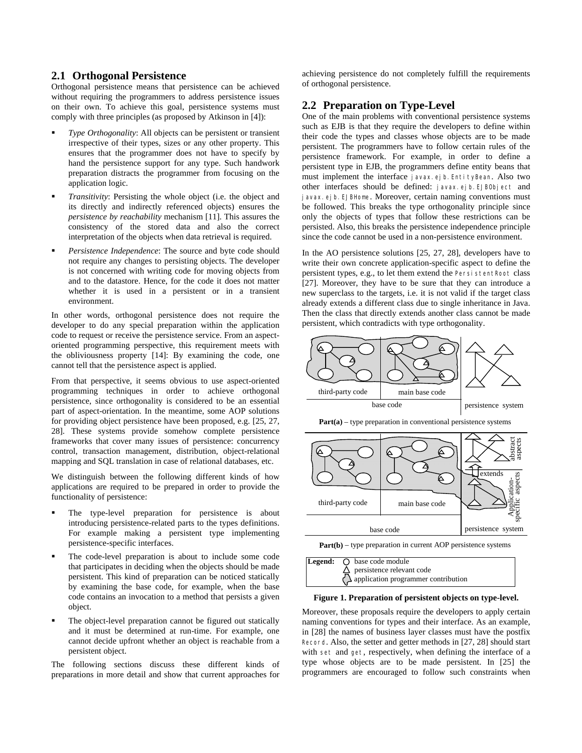## **2.1 Orthogonal Persistence**

Orthogonal persistence means that persistence can be achieved without requiring the programmers to address persistence issues on their own. To achieve this goal, persistence systems must comply with three principles (as proposed by Atkinson in [\[4\]](#page-6-1)):

- *Type Orthogonality*: All objects can be persistent or transient irrespective of their types, sizes or any other property. This ensures that the programmer does not have to specify by hand the persistence support for any type. Such handwork preparation distracts the programmer from focusing on the application logic.
- *Transitivity*: Persisting the whole object (i.e. the object and its directly and indirectly referenced objects) ensures the *persistence by reachability* mechanism [\[11\]](#page-6-12). This assures the consistency of the stored data and also the correct interpretation of the objects when data retrieval is required.
- *Persistence Independence*: The source and byte code should not require any changes to persisting objects. The developer is not concerned with writing code for moving objects from and to the datastore. Hence, for the code it does not matter whether it is used in a persistent or in a transient environment.

In other words, orthogonal persistence does not require the developer to do any special preparation within the application code to request or receive the persistence service. From an aspectoriented programming perspective, this requirement meets with the obliviousness property [[14\]](#page-6-5): By examining the code, one cannot tell that the persistence aspect is applied.

From that perspective, it seems obvious to use aspect-oriented programming techniques in order to achieve orthogonal persistence, since orthogonality is considered to be an essential part of aspect-orientation. In the meantime, some AOP solutions for providing object persistence have been proposed, e.g. [[25,](#page-6-6) [27,](#page-6-7) [28\]](#page-6-8). These systems provide somehow complete persistence frameworks that cover many issues of persistence: concurrency control, transaction management, distribution, object-relational mapping and SQL translation in case of relational databases, etc.

We distinguish between the following different kinds of how applications are required to be prepared in order to provide the functionality of persistence:

- The type-level preparation for persistence is about introducing persistence-related parts to the types definitions. For example making a persistent type implementing persistence-specific interfaces.
- The code-level preparation is about to include some code that participates in deciding when the objects should be made persistent. This kind of preparation can be noticed statically by examining the base code, for example, when the base code contains an invocation to a method that persists a given object.
- The object-level preparation cannot be figured out statically and it must be determined at run-time. For example, one cannot decide upfront whether an object is reachable from a persistent object.

The following sections discuss these different kinds of preparations in more detail and show that current approaches for

achieving persistence do not completely fulfill the requirements of orthogonal persistence.

# **2.2 Preparation on Type-Level**

One of the main problems with conventional persistence systems such as EJB is that they require the developers to define within their code the types and classes whose objects are to be made persistent. The programmers have to follow certain rules of the persistence framework. For example, in order to define a persistent type in EJB, the programmers define entity beans that must implement the interface javax.ejb. EntityBean. Also two other interfaces should be defined: javax.ejb.EJBObject and javax.ejb.EJBHome. Moreover, certain naming conventions must be followed. This breaks the type orthogonality principle since only the objects of types that follow these restrictions can be persisted. Also, this breaks the persistence independence principle since the code cannot be used in a non-persistence environment.

In the AO persistence solutions [[25,](#page-6-6) [27,](#page-6-7) [28\]](#page-6-8), developers have to write their own concrete application-specific aspect to define the persistent types, e.g., to let them extend the PersistentRoot class [[27\]](#page-6-7). Moreover, they have to be sure that they can introduce a new superclass to the targets, i.e. it is not valid if the target class already extends a different class due to single inheritance in Java. Then the class that directly extends another class cannot be made persistent, which contradicts with type orthogonality.



**Part(a)** – type preparation in conventional persistence systems



**Part(b)** – type preparation in current AOP persistence systems



<span id="page-1-0"></span>**Figure 1. Preparation of persistent objects on type-level.** 

Moreover, these proposals require the developers to apply certain naming conventions for types and their interface. As an example, in [[28\]](#page-6-8) the names of business layer classes must have the postfix Record. Also, the setter and getter methods in [\[27,](#page-6-7) [28\]](#page-6-8) should start with set and get, respectively, when defining the interface of a type whose objects are to be made persistent. In [[25\]](#page-6-6) the programmers are encouraged to follow such constraints when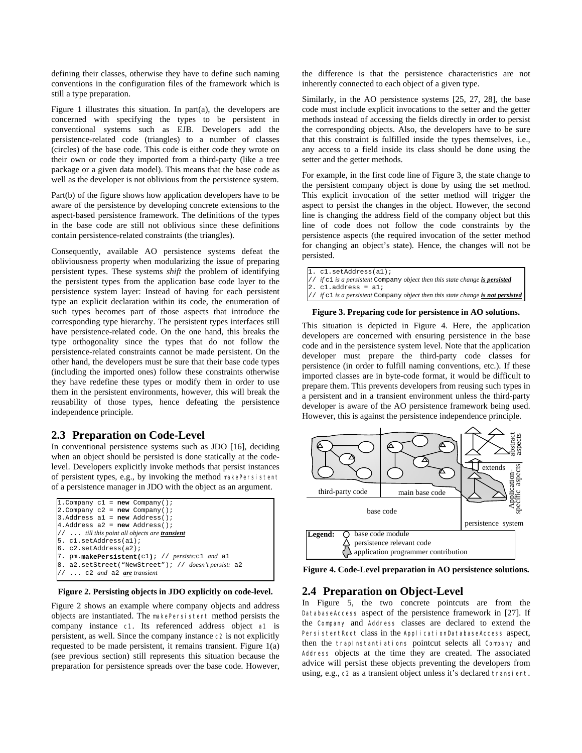defining their classes, otherwise they have to define such naming conventions in the configuration files of the framework which is still a type preparation.

Figure [1](#page-1-0) illustrates this situation. In part $(a)$ , the developers are concerned with specifying the types to be persistent in conventional systems such as EJB. Developers add the persistence-related code (triangles) to a number of classes (circles) of the base code. This code is either code they wrote on their own or code they imported from a third-party (like a tree package or a given data model). This means that the base code as well as the developer is not oblivious from the persistence system.

Part(b) of the figure shows how application developers have to be aware of the persistence by developing concrete extensions to the aspect-based persistence framework. The definitions of the types in the base code are still not oblivious since these definitions contain persistence-related constraints (the triangles).

Consequently, available AO persistence systems defeat the obliviousness property when modularizing the issue of preparing persistent types. These systems *shift* the problem of identifying the persistent types from the application base code layer to the persistence system layer: Instead of having for each persistent type an explicit declaration within its code, the enumeration of such types becomes part of those aspects that introduce the corresponding type hierarchy. The persistent types interfaces still have persistence-related code. On the one hand, this breaks the type orthogonality since the types that do not follow the persistence-related constraints cannot be made persistent. On the other hand, the developers must be sure that their base code types (including the imported ones) follow these constraints otherwise they have redefine these types or modify them in order to use them in the persistent environments, however, this will break the reusability of those types, hence defeating the persistence independence principle.

## **2.3 Preparation on Code-Level**

In conventional persistence systems such as JDO [\[16\]](#page-6-3), deciding when an object should be persisted is done statically at the codelevel. Developers explicitly invoke methods that persist instances of persistent types, e.g., by invoking the method makePersistent of a persistence manager in JDO with the object as an argument.

| 1. Company $c1 = new Company()$                              |  |  |  |  |  |  |  |
|--------------------------------------------------------------|--|--|--|--|--|--|--|
| $2. Company c2 = new Company()$                              |  |  |  |  |  |  |  |
| 3. Address al = $new$ Address();                             |  |  |  |  |  |  |  |
| 4. Address $a2 = new Address()$                              |  |  |  |  |  |  |  |
| $// \ldots$ till this point all objects are <b>transient</b> |  |  |  |  |  |  |  |
| 5. c1.setAddress(a1);                                        |  |  |  |  |  |  |  |
| 6. c2.setAddress(a2);                                        |  |  |  |  |  |  |  |
| 7. pm.makePersistent(c1); // persists:c1 and a1              |  |  |  |  |  |  |  |
| 8. a2.setStreet("NewStreet"); // doesn't persist: a2         |  |  |  |  |  |  |  |
| $1/1$ c2 and a2 are transient                                |  |  |  |  |  |  |  |
|                                                              |  |  |  |  |  |  |  |

<span id="page-2-0"></span>**Figure 2. Persisting objects in JDO explicitly on code-level.** 

Figure [2](#page-2-0) shows an example where company objects and address objects are instantiated. The makePersistent method persists the company instance c1. Its referenced address object a1 is persistent, as well. Since the company instance c2 is not explicitly requested to be made persistent, it remains transient. Figure [1\(](#page-1-0)a) (see previous section) still represents this situation because the preparation for persistence spreads over the base code. However,

the difference is that the persistence characteristics are not inherently connected to each object of a given type.

Similarly, in the AO persistence systems [[25,](#page-6-6) [27,](#page-6-7) [28\]](#page-6-8), the base code must include explicit invocations to the setter and the getter methods instead of accessing the fields directly in order to persist the corresponding objects. Also, the developers have to be sure that this constraint is fulfilled inside the types themselves, i.e., any access to a field inside its class should be done using the setter and the getter methods.

For example, in the first code line of Figure [3,](#page-2-1) the state change to the persistent company object is done by using the set method. This explicit invocation of the setter method will trigger the aspect to persist the changes in the object. However, the second line is changing the address field of the company object but this line of code does not follow the code constraints by the persistence aspects (the required invocation of the setter method for changing an object's state). Hence, the changes will not be persisted.

| 1. cl.setAddress(a1); |  |
|-----------------------|--|
|-----------------------|--|

- // *if* c1 *is a persistent* Company *object then this state change is persisted*
- $cl.address = al$ ;
- // *if* c1 *is a persistent* Company *object then this state change is not persisted*

#### <span id="page-2-1"></span>**Figure 3. Preparing code for persistence in AO solutions.**

This situation is depicted in Figure [4.](#page-2-2) Here, the application developers are concerned with ensuring persistence in the base code and in the persistence system level. Note that the application developer must prepare the third-party code classes for persistence (in order to fulfill naming conventions, etc.). If these imported classes are in byte-code format, it would be difficult to prepare them. This prevents developers from reusing such types in a persistent and in a transient environment unless the third-party developer is aware of the AO persistence framework being used. However, this is against the persistence independence principle.



<span id="page-2-2"></span>**Figure 4. Code-Level preparation in AO persistence solutions.**

# **2.4 Preparation on Object-Level**

In Figure [5,](#page-3-1) the two concrete pointcuts are from the DatabaseAccess aspect of the persistence framework in [\[27\]](#page-6-7). If the Company and Address classes are declared to extend the PersistentRoot class in the ApplicationDatabaseAccess aspect, then the trapInstantiations pointcut selects all Company and Address objects at the time they are created. The associated advice will persist these objects preventing the developers from using, e.g., c2 as a transient object unless it's declared transient.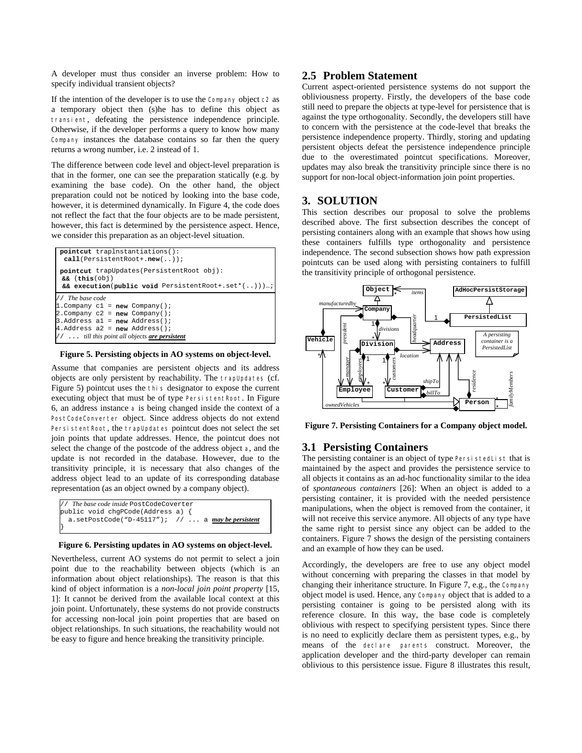A developer must thus consider an inverse problem: How to specify individual transient objects?

If the intention of the developer is to use the Company object c2 as a temporary object then (s)he has to define this object as transient, defeating the persistence independence principle. Otherwise, if the developer performs a query to know how many Company instances the database contains so far then the query returns a wrong number, i.e. 2 instead of 1.

The difference between code level and object-level preparation is that in the former, one can see the preparation statically (e.g. by examining the base code). On the other hand, the object preparation could not be noticed by looking into the base code, however, it is determined dynamically. In Figure 4, the code does not reflect the fact that the four objects are to be made persistent, however, this fact is determined by the persistence aspect. Hence, we consider this preparation as an object-level situation.



<span id="page-3-1"></span>**Figure 5. Persisting objects in AO systems on object-level.** 

Assume that companies are persistent objects and its address objects are only persistent by reachability. The trapUpdates (cf. Figure [5\)](#page-3-1) pointcut uses the this designator to expose the current executing object that must be of type PersistentRoot. In Figure [6,](#page-3-2) an address instance a is being changed inside the context of a PostCodeConverter object. Since address objects do not extend Persi stentRoot, the trapUpdates pointcut does not select the set join points that update addresses. Hence, the pointcut does not select the change of the postcode of the address object a, and the update is not recorded in the database. However, due to the transitivity principle, it is necessary that also changes of the address object lead to an update of its corresponding database representation (as an object owned by a company object).

| // The base code inside PostCodeCoverter                  |  |  |  |  |  |  |  |
|-----------------------------------------------------------|--|--|--|--|--|--|--|
| public void chqPCode(Address a) {                         |  |  |  |  |  |  |  |
| a.setPostCode("D-45117"); $// \ldots$ a may be persistent |  |  |  |  |  |  |  |
|                                                           |  |  |  |  |  |  |  |

#### <span id="page-3-2"></span>**Figure 6. Persisting updates in AO systems on object-level.**

Nevertheless, current AO systems do not permit to select a join point due to the reachability between objects (which is an information about object relationships). The reason is that this kind of object information is a *non-local join point property* [[15,](#page-6-13) [1\]](#page-6-9): It cannot be derived from the available local context at this join point. Unfortunately, these systems do not provide constructs for accessing non-local join point properties that are based on object relationships. In such situations, the reachability would not be easy to figure and hence breaking the transitivity principle.

## **2.5 Problem Statement**

Current aspect-oriented persistence systems do not support the obliviousness property. Firstly, the developers of the base code still need to prepare the objects at type-level for persistence that is against the type orthogonality. Secondly, the developers still have to concern with the persistence at the code-level that breaks the persistence independence property. Thirdly, storing and updating persistent objects defeat the persistence independence principle due to the overestimated pointcut specifications. Moreover, updates may also break the transitivity principle since there is no support for non-local object-information join point properties.

## <span id="page-3-0"></span>**3. SOLUTION**

This section describes our proposal to solve the problems described above. The first subsection describes the concept of persisting containers along with an example that shows how using these containers fulfills type orthogonality and persistence independence. The second subsection shows how path expression pointcuts can be used along with persisting containers to fulfill the transitivity principle of orthogonal persistence.



<span id="page-3-3"></span>**Figure 7. Persisting Containers for a Company object model.** 

# **3.1 Persisting Containers**

The persisting container is an object of type PersistedList that is maintained by the aspect and provides the persistence service to all objects it contains as an ad-hoc functionality similar to the idea of *spontaneous containers* [[26\]](#page-6-14): When an object is added to a persisting container, it is provided with the needed persistence manipulations, when the object is removed from the container, it will not receive this service anymore. All objects of any type have the same right to persist since any object can be added to the containers. Figure [7](#page-3-3) shows the design of the persisting containers and an example of how they can be used.

Accordingly, the developers are free to use any object model without concerning with preparing the classes in that model by changing their inheritance structure. In Figure [7,](#page-3-3) e.g., the Company object model is used. Hence, any Company object that is added to a persisting container is going to be persisted along with its reference closure. In this way, the base code is completely oblivious with respect to specifying persistent types. Since there is no need to explicitly declare them as persistent types, e.g., by means of the declare parents construct. Moreover, the application developer and the third-party developer can remain oblivious to this persistence issue. Figure [8](#page-4-0) illustrates this result,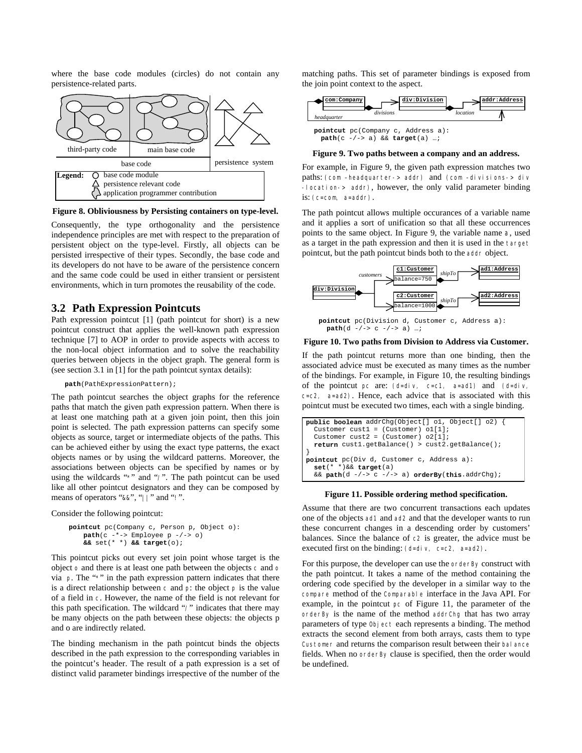where the base code modules (circles) do not contain any persistence-related parts.



<span id="page-4-0"></span>**Figure 8. Obliviousness by Persisting containers on type-level.** 

Consequently, the type orthogonality and the persistence independence principles are met with respect to the preparation of persistent object on the type-level. Firstly, all objects can be persisted irrespective of their types. Secondly, the base code and its developers do not have to be aware of the persistence concern and the same code could be used in either transient or persistent environments, which in turn promotes the reusability of the code.

## **3.2 Path Expression Pointcuts**

Path expression pointcut [[1\]](#page-6-9) (path pointcut for short) is a new pointcut construct that applies the well-known path expression technique [[7\]](#page-6-15) to AOP in order to provide aspects with access to the non-local object information and to solve the reachability queries between objects in the object graph. The general form is (see section 3.1 in [\[1\]](#page-6-9) for the path pointcut syntax details):

**path**(PathExpressionPattern);

The path pointcut searches the object graphs for the reference paths that match the given path expression pattern. When there is at least one matching path at a given join point, then this join point is selected. The path expression patterns can specify some objects as source, target or intermediate objects of the paths. This can be achieved either by using the exact type patterns, the exact objects names or by using the wildcard patterns. Moreover, the associations between objects can be specified by names or by using the wildcards "\*" and "/". The path pointcut can be used like all other pointcut designators and they can be composed by means of operators "&&", "||" and "!".

Consider the following pointcut:

```
 pointcut pc(Company c, Person p, Object o): 
  path(c - *-> Employee p - /-> o) && set(* *) && target(o);
```
This pointcut picks out every set join point whose target is the object o and there is at least one path between the objects c and o via p. The "\*" in the path expression pattern indicates that there is a direct relationship between c and p: the object p is the value of a field in c. However, the name of the field is not relevant for this path specification. The wildcard "/" indicates that there may be many objects on the path between these objects: the objects p and o are indirectly related.

The binding mechanism in the path pointcut binds the objects described in the path expression to the corresponding variables in the pointcut's header. The result of a path expression is a set of distinct valid parameter bindings irrespective of the number of the

matching paths. This set of parameter bindings is exposed from the join point context to the aspect.



<span id="page-4-1"></span>**Figure 9. Two paths between a company and an address.** 

For example, in Figure [9,](#page-4-1) the given path expression matches two paths: (com –headquarter-> addr) and (com –divisions-> div -location-> addr), however, the only valid parameter binding is: (c=com, a=addr).

The path pointcut allows multiple occurances of a variable name and it applies a sort of unification so that all these occurrences points to the same object. In Figure [9,](#page-4-1) the variable name a, used as a target in the path expression and then it is used in the target pointcut, but the path pointcut binds both to the addr object.



<span id="page-4-2"></span>**Figure 10. Two paths from Division to Address via Customer.** 

If the path pointcut returns more than one binding, then the associated advice must be executed as many times as the number of the bindings. For example, in Figure [10,](#page-4-2) the resulting bindings of the pointcut pc are:  $(d=di v, c=c1, a=ad1)$  and  $(d=di v, d=di v, d=di)$ c=c2, a=ad2). Hence, each advice that is associated with this pointcut must be executed two times, each with a single binding.

```
 public boolean addrChg(Object[] o1, Object[] o2) { 
  Customer cust1 = (Customer) o1[1]; 
  Customer cust2 = (Customer) o2[1]; 
  return cust1.getBalance() > cust2.getBalance(); 
} 
pointcut pc(Div d, Customer c, Address a): 
  set(* *)&& target(a) 
  && path(d -/-> c -/-> a) orderBy(this.addrChg);
```
#### <span id="page-4-3"></span>**Figure 11. Possible ordering method specification.**

Assume that there are two concurrent transactions each updates one of the objects ad1 and ad2 and that the developer wants to run these concurrent changes in a descending order by customers' balances. Since the balance of c2 is greater, the advice must be executed first on the binding: (d=div, c=c2, a=ad2).

For this purpose, the developer can use the orderBy construct with the path pointcut. It takes a name of the method containing the ordering code specified by the developer in a similar way to the compare method of the Comparable interface in the Java API. For example, in the pointcut pc of Figure [11,](#page-4-3) the parameter of the orderBy is the name of the method addrChg that has two array parameters of type Object each represents a binding. The method extracts the second element from both arrays, casts them to type Customer and returns the comparison result between their balance fields. When no orderBy clause is specified, then the order would be undefined.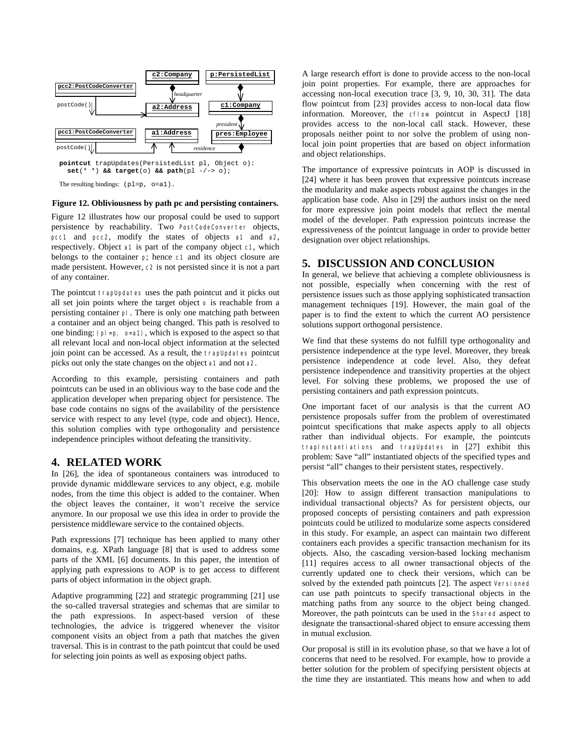

#### <span id="page-5-2"></span>**Figure 12. Obliviousness by path pc and persisting containers.**

Figure [12](#page-5-2) illustrates how our proposal could be used to support persistence by reachability. Two PostCodeConverter objects, pcc1 and pcc2, modify the states of objects a1 and a2, respectively. Object a1 is part of the company object c1, which belongs to the container p; hence c1 and its object closure are made persistent. However, c2 is not persisted since it is not a part of any container.

The pointcut trapUpdates uses the path pointcut and it picks out all set join points where the target object o is reachable from a persisting container pl. There is only one matching path between a container and an object being changed. This path is resolved to one binding: (pl=p, o=a1), which is exposed to the aspect so that all relevant local and non-local object information at the selected join point can be accessed. As a result, the trapUpdates pointcut picks out only the state changes on the object a1 and not a2.

According to this example, persisting containers and path pointcuts can be used in an oblivious way to the base code and the application developer when preparing object for persistence. The base code contains no signs of the availability of the persistence service with respect to any level (type, code and object). Hence, this solution complies with type orthogonality and persistence independence principles without defeating the transitivity.

## <span id="page-5-0"></span>**4. RELATED WORK**

In [\[26\]](#page-6-14), the idea of spontaneous containers was introduced to provide dynamic middleware services to any object, e.g. mobile nodes, from the time this object is added to the container. When the object leaves the container, it won't receive the service anymore. In our proposal we use this idea in order to provide the persistence middleware service to the contained objects.

Path expressions [[7\]](#page-6-15) technique has been applied to many other domains, e.g. XPath language [[8\]](#page-6-16) that is used to address some parts of the XML [\[6\]](#page-6-17) documents. In this paper, the intention of applying path expressions to AOP is to get access to different parts of object information in the object graph.

Adaptive programming [[22\]](#page-6-18) and strategic programming [[21\]](#page-6-19) use the so-called traversal strategies and schemas that are similar to the path expressions. In aspect-based version of these technologies, the advice is triggered whenever the visitor component visits an object from a path that matches the given traversal. This is in contrast to the path pointcut that could be used for selecting join points as well as exposing object paths.

A large research effort is done to provide access to the non-local join point properties. For example, there are approaches for accessing non-local execution trace [\[3,](#page-6-20) [9,](#page-6-21) [10,](#page-6-22) [30,](#page-6-23) [31\]](#page-6-24). The data flow pointcut from [\[23\]](#page-6-25) provides access to non-local data flow information. Moreover, the cflow pointcut in AspectJ [[18\]](#page-6-26) provides access to the non-local call stack. However, these proposals neither point to nor solve the problem of using nonlocal join point properties that are based on object information and object relationships.

The importance of expressive pointcuts in AOP is discussed in [[24\]](#page-6-27) where it has been proven that expressive pointcuts increase the modularity and make aspects robust against the changes in the application base code. Also in [\[29\]](#page-6-28) the authors insist on the need for more expressive join point models that reflect the mental model of the developer. Path expression pointcuts increase the expressiveness of the pointcut language in order to provide better designation over object relationships.

## <span id="page-5-1"></span>**5. DISCUSSION AND CONCLUSION**

In general, we believe that achieving a complete obliviousness is not possible, especially when concerning with the rest of persistence issues such as those applying sophisticated transaction management techniques [[19\]](#page-6-10). However, the main goal of the paper is to find the extent to which the current AO persistence solutions support orthogonal persistence.

We find that these systems do not fulfill type orthogonality and persistence independence at the type level. Moreover, they break persistence independence at code level. Also, they defeat persistence independence and transitivity properties at the object level. For solving these problems, we proposed the use of persisting containers and path expression pointcuts.

One important facet of our analysis is that the current AO persistence proposals suffer from the problem of overestimated pointcut specifications that make aspects apply to all objects rather than individual objects. For example, the pointcuts trapInstantiations and trapUpdates in [\[27\]](#page-6-7) exhibit this problem: Save "all" instantiated objects of the specified types and persist "all" changes to their persistent states, respectively.

This observation meets the one in the AO challenge case study [[20\]](#page-6-11): How to assign different transaction manipulations to individual transactional objects? As for persistent objects, our proposed concepts of persisting containers and path expression pointcuts could be utilized to modularize some aspects considered in this study. For example, an aspect can maintain two different containers each provides a specific transaction mechanism for its objects. Also, the cascading version-based locking mechanism [[11\]](#page-6-12) requires access to all owner transactional objects of the currently updated one to check their versions, which can be solved by the extended path pointcuts [[2\]](#page-6-29). The aspect Versioned can use path pointcuts to specify transactional objects in the matching paths from any source to the object being changed. Moreover, the path pointcuts can be used in the Shared aspect to designate the transactional-shared object to ensure accessing them in mutual exclusion.

Our proposal is still in its evolution phase, so that we have a lot of concerns that need to be resolved. For example, how to provide a better solution for the problem of specifying persistent objects at the time they are instantiated. This means how and when to add